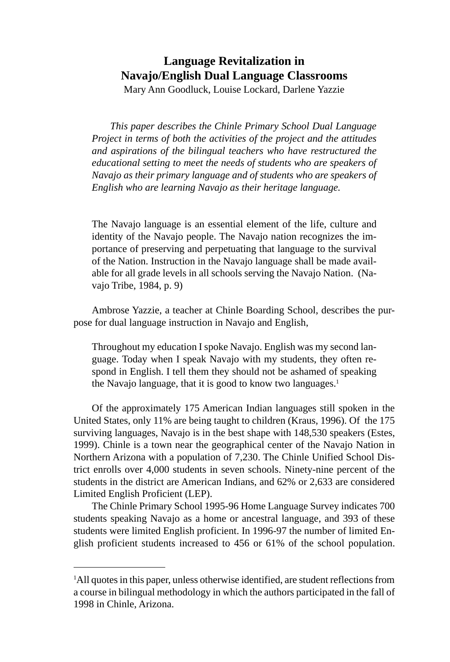# **Language Revitalization in Navajo/English Dual Language Classrooms**

Mary Ann Goodluck, Louise Lockard, Darlene Yazzie

*This paper describes the Chinle Primary School Dual Language Project in terms of both the activities of the project and the attitudes and aspirations of the bilingual teachers who have restructured the educational setting to meet the needs of students who are speakers of Navajo as their primary language and of students who are speakers of English who are learning Navajo as their heritage language.*

The Navajo language is an essential element of the life, culture and identity of the Navajo people. The Navajo nation recognizes the importance of preserving and perpetuating that language to the survival of the Nation. Instruction in the Navajo language shall be made available for all grade levels in all schools serving the Navajo Nation. (Navajo Tribe, 1984, p. 9)

Ambrose Yazzie, a teacher at Chinle Boarding School, describes the purpose for dual language instruction in Navajo and English,

Throughout my education I spoke Navajo. English was my second language. Today when I speak Navajo with my students, they often respond in English. I tell them they should not be ashamed of speaking the Navajo language, that it is good to know two languages.<sup>1</sup>

Of the approximately 175 American Indian languages still spoken in the United States, only 11% are being taught to children (Kraus, 1996). Of the 175 surviving languages, Navajo is in the best shape with 148,530 speakers (Estes, 1999). Chinle is a town near the geographical center of the Navajo Nation in Northern Arizona with a population of 7,230. The Chinle Unified School District enrolls over 4,000 students in seven schools. Ninety-nine percent of the students in the district are American Indians, and 62% or 2,633 are considered Limited English Proficient (LEP).

The Chinle Primary School 1995-96 Home Language Survey indicates 700 students speaking Navajo as a home or ancestral language, and 393 of these students were limited English proficient. In 1996-97 the number of limited English proficient students increased to 456 or 61% of the school population.

<sup>&</sup>lt;sup>1</sup>All quotes in this paper, unless otherwise identified, are student reflections from a course in bilingual methodology in which the authors participated in the fall of 1998 in Chinle, Arizona.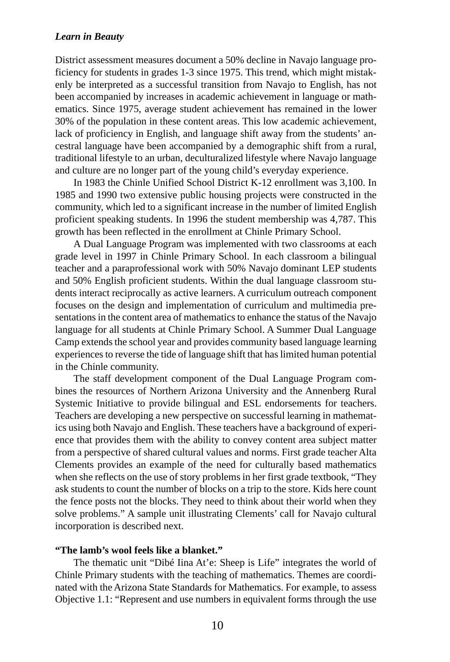District assessment measures document a 50% decline in Navajo language proficiency for students in grades 1-3 since 1975. This trend, which might mistakenly be interpreted as a successful transition from Navajo to English, has not been accompanied by increases in academic achievement in language or mathematics. Since 1975, average student achievement has remained in the lower 30% of the population in these content areas. This low academic achievement, lack of proficiency in English, and language shift away from the students' ancestral language have been accompanied by a demographic shift from a rural, traditional lifestyle to an urban, deculturalized lifestyle where Navajo language and culture are no longer part of the young child's everyday experience.

In 1983 the Chinle Unified School District K-12 enrollment was 3,100. In 1985 and 1990 two extensive public housing projects were constructed in the community, which led to a significant increase in the number of limited English proficient speaking students. In 1996 the student membership was 4,787. This growth has been reflected in the enrollment at Chinle Primary School.

A Dual Language Program was implemented with two classrooms at each grade level in 1997 in Chinle Primary School. In each classroom a bilingual teacher and a paraprofessional work with 50% Navajo dominant LEP students and 50% English proficient students. Within the dual language classroom students interact reciprocally as active learners. A curriculum outreach component focuses on the design and implementation of curriculum and multimedia presentations in the content area of mathematics to enhance the status of the Navajo language for all students at Chinle Primary School. A Summer Dual Language Camp extends the school year and provides community based language learning experiences to reverse the tide of language shift that has limited human potential in the Chinle community.

The staff development component of the Dual Language Program combines the resources of Northern Arizona University and the Annenberg Rural Systemic Initiative to provide bilingual and ESL endorsements for teachers. Teachers are developing a new perspective on successful learning in mathematics using both Navajo and English. These teachers have a background of experience that provides them with the ability to convey content area subject matter from a perspective of shared cultural values and norms. First grade teacher Alta Clements provides an example of the need for culturally based mathematics when she reflects on the use of story problems in her first grade textbook, "They ask students to count the number of blocks on a trip to the store. Kids here count the fence posts not the blocks. They need to think about their world when they solve problems." A sample unit illustrating Clements' call for Navajo cultural incorporation is described next.

#### **"The lamb's wool feels like a blanket."**

The thematic unit "Dibé Iina At'e: Sheep is Life" integrates the world of Chinle Primary students with the teaching of mathematics. Themes are coordinated with the Arizona State Standards for Mathematics. For example, to assess Objective 1.1: "Represent and use numbers in equivalent forms through the use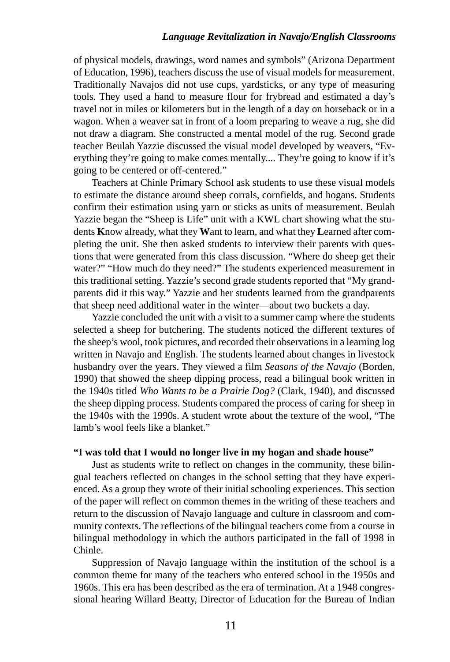of physical models, drawings, word names and symbols" (Arizona Department of Education, 1996), teachers discuss the use of visual models for measurement. Traditionally Navajos did not use cups, yardsticks, or any type of measuring tools. They used a hand to measure flour for frybread and estimated a day's travel not in miles or kilometers but in the length of a day on horseback or in a wagon. When a weaver sat in front of a loom preparing to weave a rug, she did not draw a diagram. She constructed a mental model of the rug. Second grade teacher Beulah Yazzie discussed the visual model developed by weavers, "Everything they're going to make comes mentally.... They're going to know if it's going to be centered or off-centered."

Teachers at Chinle Primary School ask students to use these visual models to estimate the distance around sheep corrals, cornfields, and hogans. Students confirm their estimation using yarn or sticks as units of measurement. Beulah Yazzie began the "Sheep is Life" unit with a KWL chart showing what the students **K**now already, what they **W**ant to learn, and what they **L**earned after completing the unit. She then asked students to interview their parents with questions that were generated from this class discussion. "Where do sheep get their water?" "How much do they need?" The students experienced measurement in this traditional setting. Yazzie's second grade students reported that "My grandparents did it this way." Yazzie and her students learned from the grandparents that sheep need additional water in the winter—about two buckets a day.

Yazzie concluded the unit with a visit to a summer camp where the students selected a sheep for butchering. The students noticed the different textures of the sheep's wool, took pictures, and recorded their observations in a learning log written in Navajo and English. The students learned about changes in livestock husbandry over the years. They viewed a film *Seasons of the Navajo* (Borden, 1990) that showed the sheep dipping process, read a bilingual book written in the 1940s titled *Who Wants to be a Prairie Dog?* (Clark, 1940), and discussed the sheep dipping process. Students compared the process of caring for sheep in the 1940s with the 1990s. A student wrote about the texture of the wool, "The lamb's wool feels like a blanket."

#### **"I was told that I would no longer live in my hogan and shade house"**

Just as students write to reflect on changes in the community, these bilingual teachers reflected on changes in the school setting that they have experienced. As a group they wrote of their initial schooling experiences. This section of the paper will reflect on common themes in the writing of these teachers and return to the discussion of Navajo language and culture in classroom and community contexts. The reflections of the bilingual teachers come from a course in bilingual methodology in which the authors participated in the fall of 1998 in Chinle.

Suppression of Navajo language within the institution of the school is a common theme for many of the teachers who entered school in the 1950s and 1960s. This era has been described as the era of termination. At a 1948 congressional hearing Willard Beatty, Director of Education for the Bureau of Indian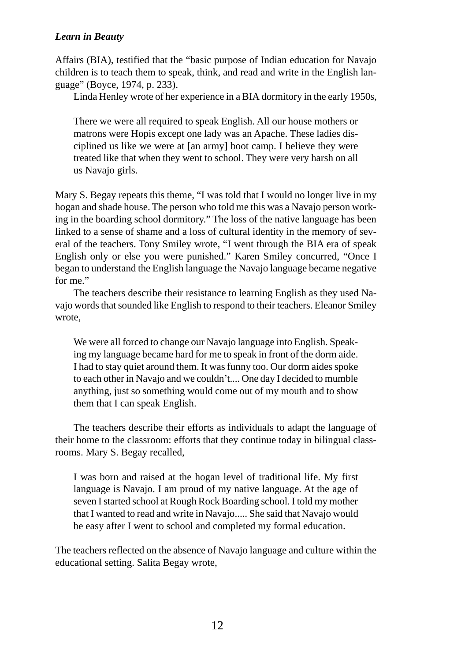Affairs (BIA), testified that the "basic purpose of Indian education for Navajo children is to teach them to speak, think, and read and write in the English language" (Boyce, 1974, p. 233).

Linda Henley wrote of her experience in a BIA dormitory in the early 1950s,

There we were all required to speak English. All our house mothers or matrons were Hopis except one lady was an Apache. These ladies disciplined us like we were at [an army] boot camp. I believe they were treated like that when they went to school. They were very harsh on all us Navajo girls.

Mary S. Begay repeats this theme, "I was told that I would no longer live in my hogan and shade house. The person who told me this was a Navajo person working in the boarding school dormitory." The loss of the native language has been linked to a sense of shame and a loss of cultural identity in the memory of several of the teachers. Tony Smiley wrote, "I went through the BIA era of speak English only or else you were punished." Karen Smiley concurred, "Once I began to understand the English language the Navajo language became negative for me."

The teachers describe their resistance to learning English as they used Navajo words that sounded like English to respond to their teachers. Eleanor Smiley wrote,

We were all forced to change our Navajo language into English. Speaking my language became hard for me to speak in front of the dorm aide. I had to stay quiet around them. It was funny too. Our dorm aides spoke to each other in Navajo and we couldn't.... One day I decided to mumble anything, just so something would come out of my mouth and to show them that I can speak English.

The teachers describe their efforts as individuals to adapt the language of their home to the classroom: efforts that they continue today in bilingual classrooms. Mary S. Begay recalled,

I was born and raised at the hogan level of traditional life. My first language is Navajo. I am proud of my native language. At the age of seven I started school at Rough Rock Boarding school. I told my mother that I wanted to read and write in Navajo..... She said that Navajo would be easy after I went to school and completed my formal education.

The teachers reflected on the absence of Navajo language and culture within the educational setting. Salita Begay wrote,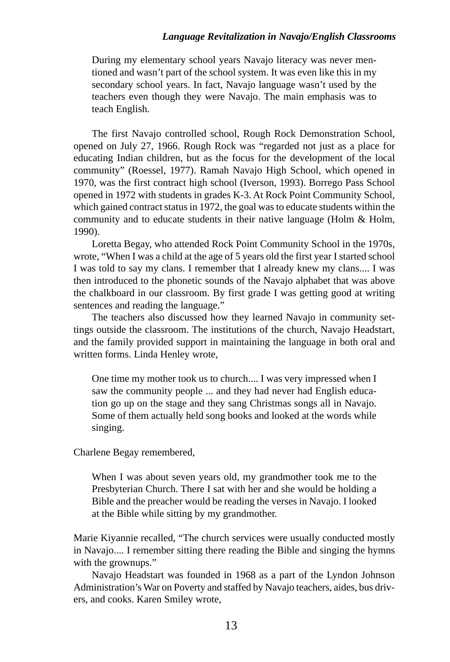During my elementary school years Navajo literacy was never mentioned and wasn't part of the school system. It was even like this in my secondary school years. In fact, Navajo language wasn't used by the teachers even though they were Navajo. The main emphasis was to teach English.

The first Navajo controlled school, Rough Rock Demonstration School, opened on July 27, 1966. Rough Rock was "regarded not just as a place for educating Indian children, but as the focus for the development of the local community" (Roessel, 1977). Ramah Navajo High School, which opened in 1970, was the first contract high school (Iverson, 1993). Borrego Pass School opened in 1972 with students in grades K-3. At Rock Point Community School, which gained contract status in 1972, the goal was to educate students within the community and to educate students in their native language (Holm & Holm, 1990).

Loretta Begay, who attended Rock Point Community School in the 1970s, wrote, "When I was a child at the age of 5 years old the first year I started school I was told to say my clans. I remember that I already knew my clans.... I was then introduced to the phonetic sounds of the Navajo alphabet that was above the chalkboard in our classroom. By first grade I was getting good at writing sentences and reading the language."

The teachers also discussed how they learned Navajo in community settings outside the classroom. The institutions of the church, Navajo Headstart, and the family provided support in maintaining the language in both oral and written forms. Linda Henley wrote,

One time my mother took us to church.... I was very impressed when I saw the community people ... and they had never had English education go up on the stage and they sang Christmas songs all in Navajo. Some of them actually held song books and looked at the words while singing.

Charlene Begay remembered,

When I was about seven years old, my grandmother took me to the Presbyterian Church. There I sat with her and she would be holding a Bible and the preacher would be reading the verses in Navajo. I looked at the Bible while sitting by my grandmother.

Marie Kiyannie recalled, "The church services were usually conducted mostly in Navajo.... I remember sitting there reading the Bible and singing the hymns with the grownups."

Navajo Headstart was founded in 1968 as a part of the Lyndon Johnson Administration's War on Poverty and staffed by Navajo teachers, aides, bus drivers, and cooks. Karen Smiley wrote,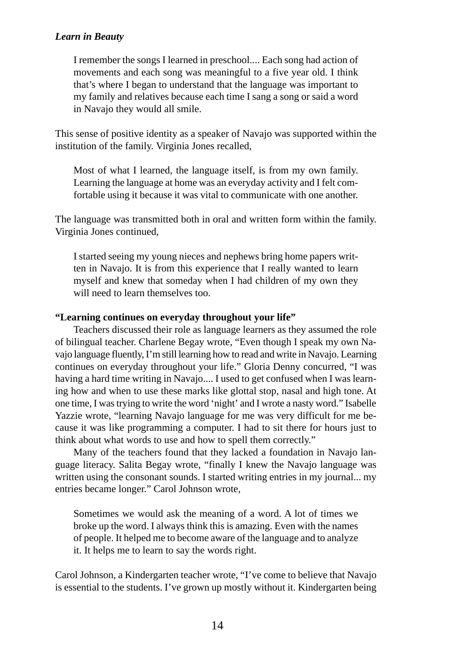I remember the songs I learned in preschool.... Each song had action of movements and each song was meaningful to a five year old. I think that's where I began to understand that the language was important to my family and relatives because each time I sang a song or said a word in Navajo they would all smile.

This sense of positive identity as a speaker of Navajo was supported within the institution of the family. Virginia Jones recalled,

Most of what I learned, the language itself, is from my own family. Learning the language at home was an everyday activity and I felt comfortable using it because it was vital to communicate with one another.

The language was transmitted both in oral and written form within the family. Virginia Jones continued,

I started seeing my young nieces and nephews bring home papers written in Navajo. It is from this experience that I really wanted to learn myself and knew that someday when I had children of my own they will need to learn themselves too.

#### **"Learning continues on everyday throughout your life"**

Teachers discussed their role as language learners as they assumed the role of bilingual teacher. Charlene Begay wrote, "Even though I speak my own Navajo language fluently, I'm still learning how to read and write in Navajo. Learning continues on everyday throughout your life." Gloria Denny concurred, "I was having a hard time writing in Navajo.... I used to get confused when I was learning how and when to use these marks like glottal stop, nasal and high tone. At one time, I was trying to write the word 'night' and I wrote a nasty word." Isabelle Yazzie wrote, "learning Navajo language for me was very difficult for me because it was like programming a computer. I had to sit there for hours just to think about what words to use and how to spell them correctly."

Many of the teachers found that they lacked a foundation in Navajo language literacy. Salita Begay wrote, "finally I knew the Navajo language was written using the consonant sounds. I started writing entries in my journal... my entries became longer." Carol Johnson wrote,

Sometimes we would ask the meaning of a word. A lot of times we broke up the word. I always think this is amazing. Even with the names of people. It helped me to become aware of the language and to analyze it. It helps me to learn to say the words right.

Carol Johnson, a Kindergarten teacher wrote, "I've come to believe that Navajo is essential to the students. I've grown up mostly without it. Kindergarten being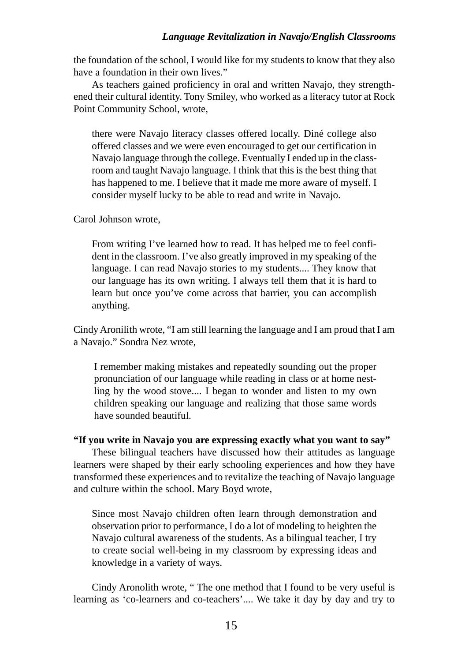the foundation of the school, I would like for my students to know that they also have a foundation in their own lives."

As teachers gained proficiency in oral and written Navajo, they strengthened their cultural identity. Tony Smiley, who worked as a literacy tutor at Rock Point Community School, wrote,

there were Navajo literacy classes offered locally. Diné college also offered classes and we were even encouraged to get our certification in Navajo language through the college. Eventually I ended up in the classroom and taught Navajo language. I think that this is the best thing that has happened to me. I believe that it made me more aware of myself. I consider myself lucky to be able to read and write in Navajo.

Carol Johnson wrote,

From writing I've learned how to read. It has helped me to feel confident in the classroom. I've also greatly improved in my speaking of the language. I can read Navajo stories to my students.... They know that our language has its own writing. I always tell them that it is hard to learn but once you've come across that barrier, you can accomplish anything.

Cindy Aronilith wrote, "I am still learning the language and I am proud that I am a Navajo." Sondra Nez wrote,

I remember making mistakes and repeatedly sounding out the proper pronunciation of our language while reading in class or at home nestling by the wood stove.... I began to wonder and listen to my own children speaking our language and realizing that those same words have sounded beautiful.

#### **"If you write in Navajo you are expressing exactly what you want to say"**

These bilingual teachers have discussed how their attitudes as language learners were shaped by their early schooling experiences and how they have transformed these experiences and to revitalize the teaching of Navajo language and culture within the school. Mary Boyd wrote,

Since most Navajo children often learn through demonstration and observation prior to performance, I do a lot of modeling to heighten the Navajo cultural awareness of the students. As a bilingual teacher, I try to create social well-being in my classroom by expressing ideas and knowledge in a variety of ways.

Cindy Aronolith wrote, " The one method that I found to be very useful is learning as 'co-learners and co-teachers'.... We take it day by day and try to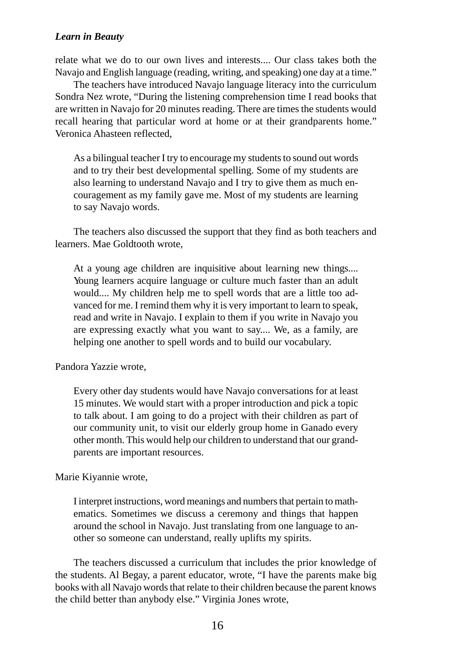relate what we do to our own lives and interests.... Our class takes both the Navajo and English language (reading, writing, and speaking) one day at a time."

The teachers have introduced Navajo language literacy into the curriculum Sondra Nez wrote, "During the listening comprehension time I read books that are written in Navajo for 20 minutes reading. There are times the students would recall hearing that particular word at home or at their grandparents home." Veronica Ahasteen reflected,

As a bilingual teacher I try to encourage my students to sound out words and to try their best developmental spelling. Some of my students are also learning to understand Navajo and I try to give them as much encouragement as my family gave me. Most of my students are learning to say Navajo words.

The teachers also discussed the support that they find as both teachers and learners. Mae Goldtooth wrote,

At a young age children are inquisitive about learning new things.... Young learners acquire language or culture much faster than an adult would.... My children help me to spell words that are a little too advanced for me. I remind them why it is very important to learn to speak, read and write in Navajo. I explain to them if you write in Navajo you are expressing exactly what you want to say.... We, as a family, are helping one another to spell words and to build our vocabulary.

Pandora Yazzie wrote,

Every other day students would have Navajo conversations for at least 15 minutes. We would start with a proper introduction and pick a topic to talk about. I am going to do a project with their children as part of our community unit, to visit our elderly group home in Ganado every other month. This would help our children to understand that our grandparents are important resources.

Marie Kiyannie wrote,

I interpret instructions, word meanings and numbers that pertain to mathematics. Sometimes we discuss a ceremony and things that happen around the school in Navajo. Just translating from one language to another so someone can understand, really uplifts my spirits.

The teachers discussed a curriculum that includes the prior knowledge of the students. Al Begay, a parent educator, wrote, "I have the parents make big books with all Navajo words that relate to their children because the parent knows the child better than anybody else." Virginia Jones wrote,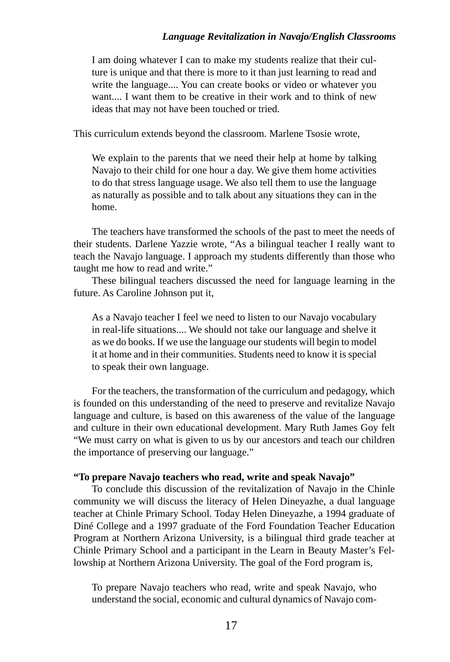I am doing whatever I can to make my students realize that their culture is unique and that there is more to it than just learning to read and write the language.... You can create books or video or whatever you want.... I want them to be creative in their work and to think of new ideas that may not have been touched or tried.

This curriculum extends beyond the classroom. Marlene Tsosie wrote,

We explain to the parents that we need their help at home by talking Navajo to their child for one hour a day. We give them home activities to do that stress language usage. We also tell them to use the language as naturally as possible and to talk about any situations they can in the home.

The teachers have transformed the schools of the past to meet the needs of their students. Darlene Yazzie wrote, "As a bilingual teacher I really want to teach the Navajo language. I approach my students differently than those who taught me how to read and write."

These bilingual teachers discussed the need for language learning in the future. As Caroline Johnson put it,

As a Navajo teacher I feel we need to listen to our Navajo vocabulary in real-life situations.... We should not take our language and shelve it as we do books. If we use the language our students will begin to model it at home and in their communities. Students need to know it is special to speak their own language.

For the teachers, the transformation of the curriculum and pedagogy, which is founded on this understanding of the need to preserve and revitalize Navajo language and culture, is based on this awareness of the value of the language and culture in their own educational development. Mary Ruth James Goy felt "We must carry on what is given to us by our ancestors and teach our children the importance of preserving our language."

#### **"To prepare Navajo teachers who read, write and speak Navajo"**

To conclude this discussion of the revitalization of Navajo in the Chinle community we will discuss the literacy of Helen Dineyazhe, a dual language teacher at Chinle Primary School. Today Helen Dineyazhe, a 1994 graduate of Diné College and a 1997 graduate of the Ford Foundation Teacher Education Program at Northern Arizona University, is a bilingual third grade teacher at Chinle Primary School and a participant in the Learn in Beauty Master's Fellowship at Northern Arizona University. The goal of the Ford program is,

To prepare Navajo teachers who read, write and speak Navajo, who understand the social, economic and cultural dynamics of Navajo com-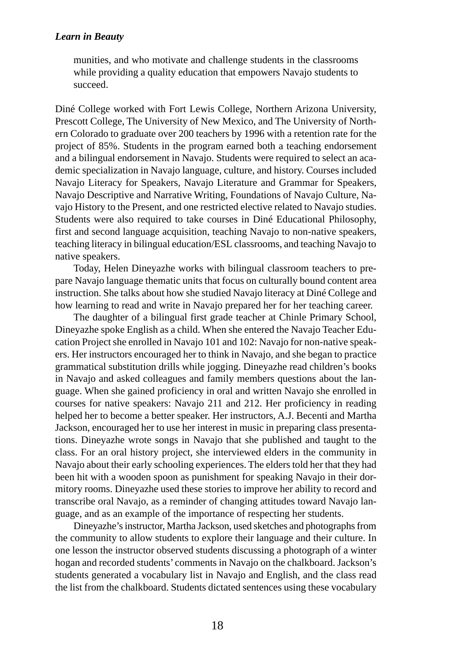munities, and who motivate and challenge students in the classrooms while providing a quality education that empowers Navajo students to succeed.

Diné College worked with Fort Lewis College, Northern Arizona University, Prescott College, The University of New Mexico, and The University of Northern Colorado to graduate over 200 teachers by 1996 with a retention rate for the project of 85%. Students in the program earned both a teaching endorsement and a bilingual endorsement in Navajo. Students were required to select an academic specialization in Navajo language, culture, and history. Courses included Navajo Literacy for Speakers, Navajo Literature and Grammar for Speakers, Navajo Descriptive and Narrative Writing, Foundations of Navajo Culture, Navajo History to the Present, and one restricted elective related to Navajo studies. Students were also required to take courses in Diné Educational Philosophy, first and second language acquisition, teaching Navajo to non-native speakers, teaching literacy in bilingual education/ESL classrooms, and teaching Navajo to native speakers.

Today, Helen Dineyazhe works with bilingual classroom teachers to prepare Navajo language thematic units that focus on culturally bound content area instruction. She talks about how she studied Navajo literacy at Diné College and how learning to read and write in Navajo prepared her for her teaching career.

The daughter of a bilingual first grade teacher at Chinle Primary School, Dineyazhe spoke English as a child. When she entered the Navajo Teacher Education Project she enrolled in Navajo 101 and 102: Navajo for non-native speakers. Her instructors encouraged her to think in Navajo, and she began to practice grammatical substitution drills while jogging. Dineyazhe read children's books in Navajo and asked colleagues and family members questions about the language. When she gained proficiency in oral and written Navajo she enrolled in courses for native speakers: Navajo 211 and 212. Her proficiency in reading helped her to become a better speaker. Her instructors, A.J. Becenti and Martha Jackson, encouraged her to use her interest in music in preparing class presentations. Dineyazhe wrote songs in Navajo that she published and taught to the class. For an oral history project, she interviewed elders in the community in Navajo about their early schooling experiences. The elders told her that they had been hit with a wooden spoon as punishment for speaking Navajo in their dormitory rooms. Dineyazhe used these stories to improve her ability to record and transcribe oral Navajo, as a reminder of changing attitudes toward Navajo language, and as an example of the importance of respecting her students.

Dineyazhe's instructor, Martha Jackson, used sketches and photographs from the community to allow students to explore their language and their culture. In one lesson the instructor observed students discussing a photograph of a winter hogan and recorded students' comments in Navajo on the chalkboard. Jackson's students generated a vocabulary list in Navajo and English, and the class read the list from the chalkboard. Students dictated sentences using these vocabulary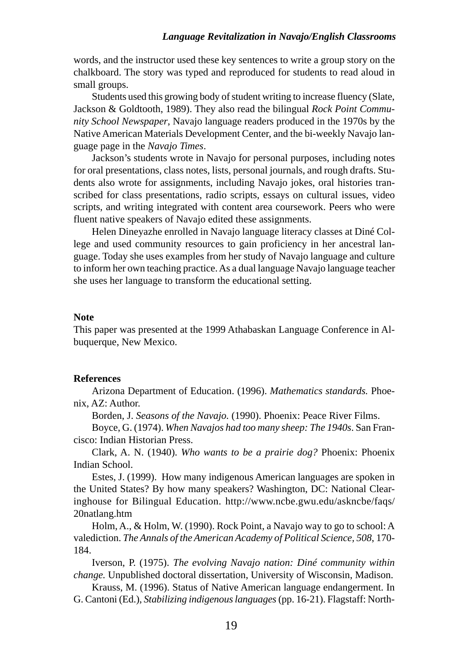words, and the instructor used these key sentences to write a group story on the chalkboard. The story was typed and reproduced for students to read aloud in small groups.

Students used this growing body of student writing to increase fluency (Slate, Jackson & Goldtooth, 1989). They also read the bilingual *Rock Point Community School Newspaper*, Navajo language readers produced in the 1970s by the Native American Materials Development Center, and the bi-weekly Navajo language page in the *Navajo Times*.

Jackson's students wrote in Navajo for personal purposes, including notes for oral presentations, class notes, lists, personal journals, and rough drafts. Students also wrote for assignments, including Navajo jokes, oral histories transcribed for class presentations, radio scripts, essays on cultural issues, video scripts, and writing integrated with content area coursework. Peers who were fluent native speakers of Navajo edited these assignments.

Helen Dineyazhe enrolled in Navajo language literacy classes at Diné College and used community resources to gain proficiency in her ancestral language. Today she uses examples from her study of Navajo language and culture to inform her own teaching practice. As a dual language Navajo language teacher she uses her language to transform the educational setting.

## **Note**

This paper was presented at the 1999 Athabaskan Language Conference in Albuquerque, New Mexico.

## **References**

Arizona Department of Education. (1996). *Mathematics standards.* Phoenix, AZ: Author.

Borden, J. *Seasons of the Navajo.* (1990). Phoenix: Peace River Films.

Boyce, G. (1974). *When Navajos had too many sheep: The 1940s*. San Francisco: Indian Historian Press.

Clark, A. N. (1940). *Who wants to be a prairie dog?* Phoenix: Phoenix Indian School.

Estes, J. (1999). How many indigenous American languages are spoken in the United States? By how many speakers? Washington, DC: National Clearinghouse for Bilingual Education. http://www.ncbe.gwu.edu/askncbe/faqs/ 20natlang.htm

Holm, A., & Holm, W. (1990). Rock Point, a Navajo way to go to school: A valediction. *The Annals of the American Academy of Political Science, 508*, 170- 184.

Iverson, P. (1975). *The evolving Navajo nation: Diné community within change.* Unpublished doctoral dissertation, University of Wisconsin, Madison.

Krauss, M. (1996). Status of Native American language endangerment. In G. Cantoni (Ed.), *Stabilizing indigenous languages* (pp. 16-21). Flagstaff: North-